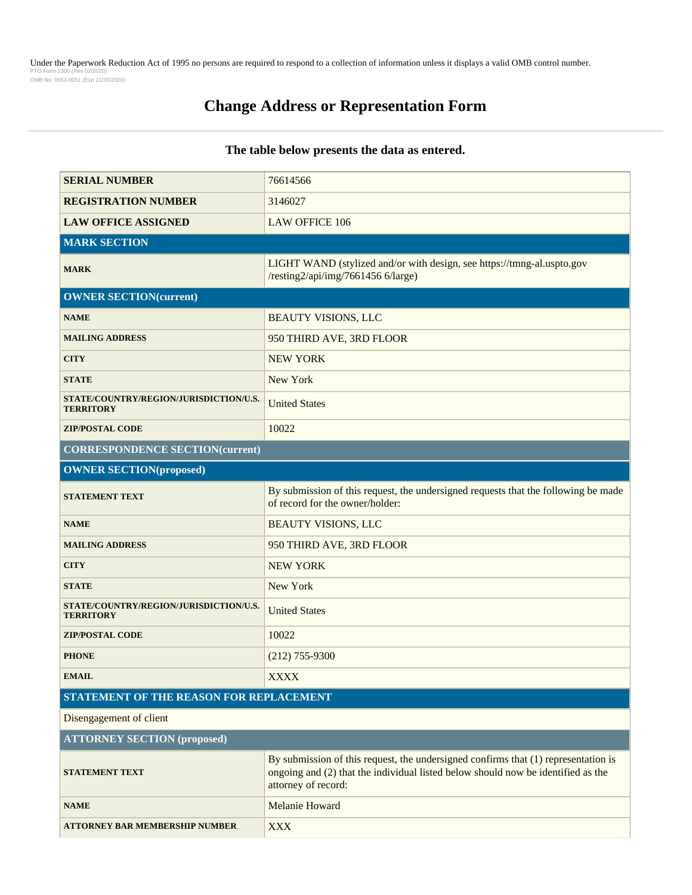Under the Paperwork Reduction Act of 1995 no persons are required to respond to a collection of information unless it displays a valid OMB control number.<br>PTO Form 2300 (Rev 02/2020) OMB No. 0651-0051 (Exp 11/30/2020)

# **Change Address or Representation Form**

### **The table below presents the data as entered.**

| <b>SERIAL NUMBER</b>                                       | 76614566                                                                                                                                                                                      |  |
|------------------------------------------------------------|-----------------------------------------------------------------------------------------------------------------------------------------------------------------------------------------------|--|
| <b>REGISTRATION NUMBER</b>                                 | 3146027                                                                                                                                                                                       |  |
| <b>LAW OFFICE ASSIGNED</b>                                 | <b>LAW OFFICE 106</b>                                                                                                                                                                         |  |
| <b>MARK SECTION</b>                                        |                                                                                                                                                                                               |  |
| <b>MARK</b>                                                | LIGHT WAND (stylized and/or with design, see https://tmng-al.uspto.gov<br>/resting2/api/img/7661456 6/large)                                                                                  |  |
| <b>OWNER SECTION(current)</b>                              |                                                                                                                                                                                               |  |
| <b>NAME</b>                                                | <b>BEAUTY VISIONS, LLC</b>                                                                                                                                                                    |  |
| <b>MAILING ADDRESS</b>                                     | 950 THIRD AVE, 3RD FLOOR                                                                                                                                                                      |  |
| <b>CITY</b>                                                | <b>NEW YORK</b>                                                                                                                                                                               |  |
| <b>STATE</b>                                               | New York                                                                                                                                                                                      |  |
| STATE/COUNTRY/REGION/JURISDICTION/U.S.<br><b>TERRITORY</b> | <b>United States</b>                                                                                                                                                                          |  |
| <b>ZIP/POSTAL CODE</b>                                     | 10022                                                                                                                                                                                         |  |
| <b>CORRESPONDENCE SECTION(current)</b>                     |                                                                                                                                                                                               |  |
| <b>OWNER SECTION(proposed)</b>                             |                                                                                                                                                                                               |  |
| <b>STATEMENT TEXT</b>                                      | By submission of this request, the undersigned requests that the following be made<br>of record for the owner/holder:                                                                         |  |
| <b>NAME</b>                                                | <b>BEAUTY VISIONS, LLC</b>                                                                                                                                                                    |  |
| <b>MAILING ADDRESS</b>                                     | 950 THIRD AVE, 3RD FLOOR                                                                                                                                                                      |  |
| <b>CITY</b>                                                | <b>NEW YORK</b>                                                                                                                                                                               |  |
| <b>STATE</b>                                               | New York                                                                                                                                                                                      |  |
| STATE/COUNTRY/REGION/JURISDICTION/U.S.<br><b>TERRITORY</b> | <b>United States</b>                                                                                                                                                                          |  |
| <b>ZIP/POSTAL CODE</b>                                     | 10022                                                                                                                                                                                         |  |
| <b>PHONE</b>                                               | $(212)$ 755-9300                                                                                                                                                                              |  |
| <b>EMAIL</b>                                               | <b>XXXX</b>                                                                                                                                                                                   |  |
| STATEMENT OF THE REASON FOR REPLACEMENT                    |                                                                                                                                                                                               |  |
| Disengagement of client                                    |                                                                                                                                                                                               |  |
| <b>ATTORNEY SECTION (proposed)</b>                         |                                                                                                                                                                                               |  |
| <b>STATEMENT TEXT</b>                                      | By submission of this request, the undersigned confirms that (1) representation is<br>ongoing and (2) that the individual listed below should now be identified as the<br>attorney of record: |  |
| <b>NAME</b>                                                | Melanie Howard                                                                                                                                                                                |  |
| <b>ATTORNEY BAR MEMBERSHIP NUMBER</b>                      | <b>XXX</b>                                                                                                                                                                                    |  |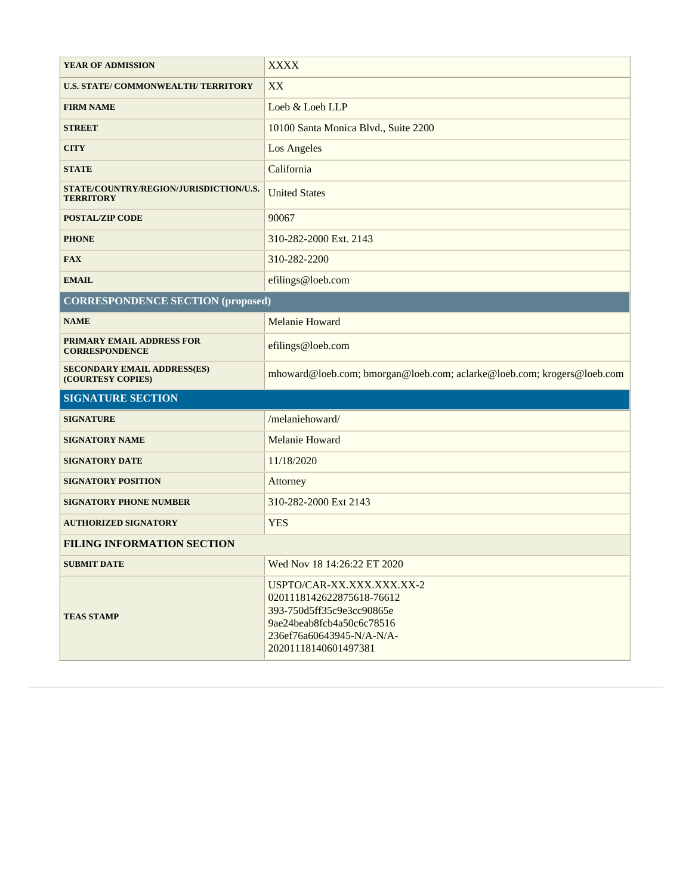| <b>YEAR OF ADMISSION</b>                                   | <b>XXXX</b>                                                            |
|------------------------------------------------------------|------------------------------------------------------------------------|
| U.S. STATE/COMMONWEALTH/TERRITORY                          | XX                                                                     |
| <b>FIRM NAME</b>                                           | Loeb & Loeb LLP                                                        |
| <b>STREET</b>                                              | 10100 Santa Monica Blvd., Suite 2200                                   |
| <b>CITY</b>                                                | <b>Los Angeles</b>                                                     |
| <b>STATE</b>                                               | California                                                             |
| STATE/COUNTRY/REGION/JURISDICTION/U.S.<br><b>TERRITORY</b> | <b>United States</b>                                                   |
| <b>POSTAL/ZIP CODE</b>                                     | 90067                                                                  |
| <b>PHONE</b>                                               | 310-282-2000 Ext. 2143                                                 |
| <b>FAX</b>                                                 | 310-282-2200                                                           |
| <b>EMAIL</b>                                               | efilings@loeb.com                                                      |
| <b>CORRESPONDENCE SECTION (proposed)</b>                   |                                                                        |
| <b>NAME</b>                                                | Melanie Howard                                                         |
| PRIMARY EMAIL ADDRESS FOR<br><b>CORRESPONDENCE</b>         | efilings@loeb.com                                                      |
| <b>SECONDARY EMAIL ADDRESS(ES)</b><br>(COURTESY COPIES)    | mhoward@loeb.com; bmorgan@loeb.com; aclarke@loeb.com; krogers@loeb.com |
| <b>SIGNATURE SECTION</b>                                   |                                                                        |
| <b>SIGNATURE</b>                                           | /melaniehoward/                                                        |
| <b>SIGNATORY NAME</b>                                      | Melanie Howard                                                         |
| <b>SIGNATORY DATE</b>                                      | 11/18/2020                                                             |
| <b>SIGNATORY POSITION</b>                                  |                                                                        |
|                                                            | Attorney                                                               |
| <b>SIGNATORY PHONE NUMBER</b>                              | 310-282-2000 Ext 2143                                                  |
| <b>AUTHORIZED SIGNATORY</b>                                | <b>YES</b>                                                             |
| <b>FILING INFORMATION SECTION</b>                          |                                                                        |
| <b>SUBMIT DATE</b>                                         | Wed Nov 18 14:26:22 ET 2020                                            |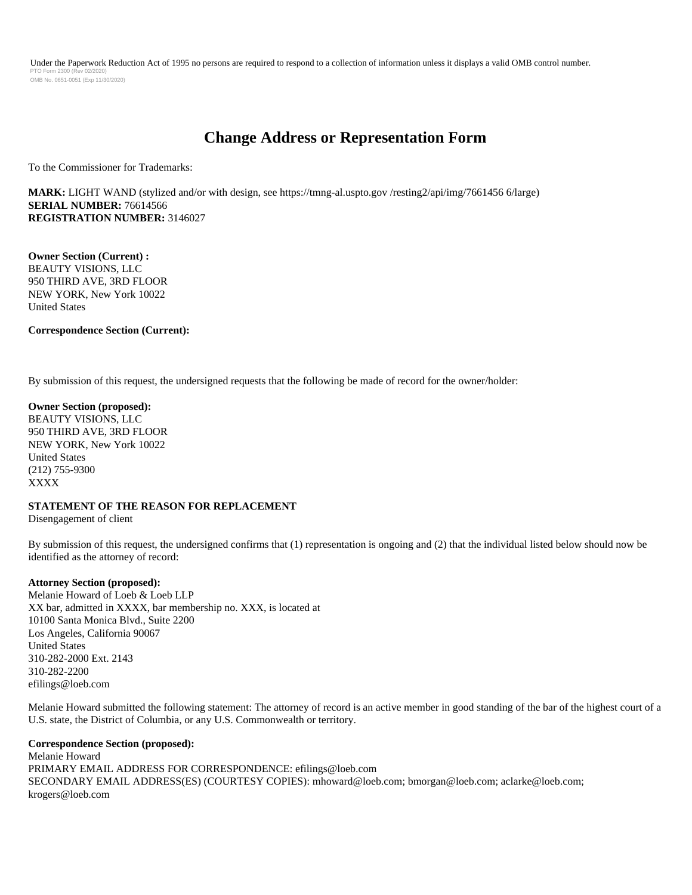Under the Paperwork Reduction Act of 1995 no persons are required to respond to a collection of information unless it displays a valid OMB control number. PTO Form 2300 (Rev 02/2020) OMB No. 0651-0051 (Exp 11/30/2020)

## **Change Address or Representation Form**

To the Commissioner for Trademarks:

**MARK:** LIGHT WAND (stylized and/or with design, see https://tmng-al.uspto.gov /resting2/api/img/7661456 6/large) **SERIAL NUMBER:** 76614566 **REGISTRATION NUMBER:** 3146027

**Owner Section (Current) :**  BEAUTY VISIONS, LLC 950 THIRD AVE, 3RD FLOOR NEW YORK, New York 10022 United States

#### **Correspondence Section (Current):**

By submission of this request, the undersigned requests that the following be made of record for the owner/holder:

**Owner Section (proposed):**  BEAUTY VISIONS, LLC 950 THIRD AVE, 3RD FLOOR NEW YORK, New York 10022 United States (212) 755-9300 XXXX

## **STATEMENT OF THE REASON FOR REPLACEMENT**

Disengagement of client

By submission of this request, the undersigned confirms that (1) representation is ongoing and (2) that the individual listed below should now be identified as the attorney of record:

#### **Attorney Section (proposed):**

Melanie Howard of Loeb & Loeb LLP XX bar, admitted in XXXX, bar membership no. XXX, is located at 10100 Santa Monica Blvd., Suite 2200 Los Angeles, California 90067 United States 310-282-2000 Ext. 2143 310-282-2200 efilings@loeb.com

Melanie Howard submitted the following statement: The attorney of record is an active member in good standing of the bar of the highest court of a U.S. state, the District of Columbia, or any U.S. Commonwealth or territory.

#### **Correspondence Section (proposed):**

Melanie Howard PRIMARY EMAIL ADDRESS FOR CORRESPONDENCE: efilings@loeb.com SECONDARY EMAIL ADDRESS(ES) (COURTESY COPIES): mhoward@loeb.com; bmorgan@loeb.com; aclarke@loeb.com; krogers@loeb.com